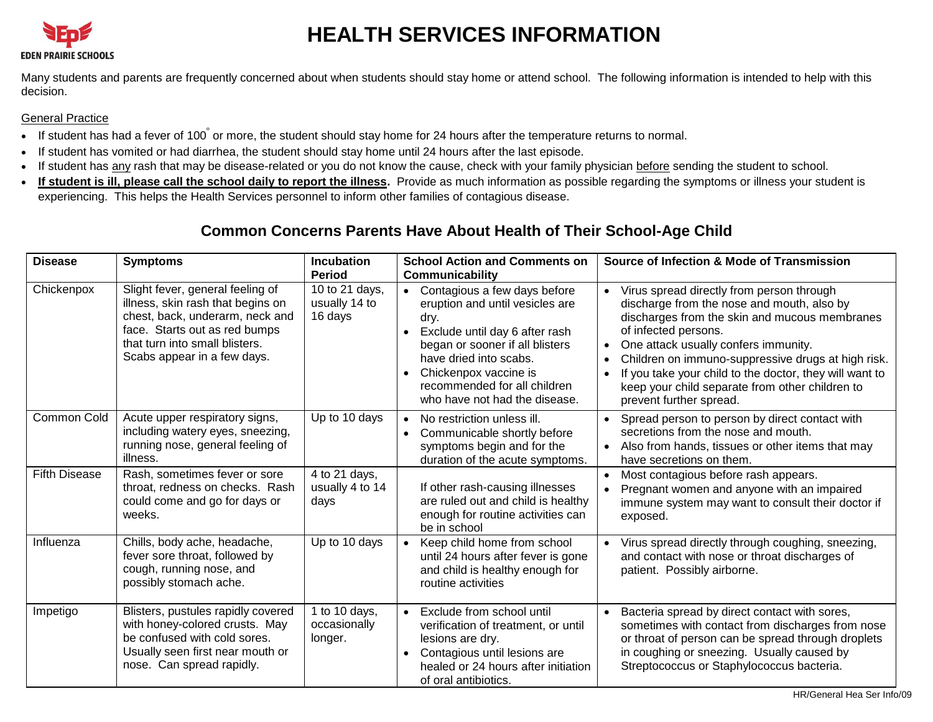

# **HEALTH SERVICES INFORMATION**

Many students and parents are frequently concerned about when students should stay home or attend school. The following information is intended to help with this decision.

### General Practice

- If student has had a fever of 100° or more, the student should stay home for 24 hours after the temperature returns to normal.
- If student has vomited or had diarrhea, the student should stay home until 24 hours after the last episode.
- If student has any rash that may be disease-related or you do not know the cause, check with your family physician before sending the student to school.
- **If student is ill, please call the school daily to report the illness.** Provide as much information as possible regarding the symptoms or illness your student is experiencing. This helps the Health Services personnel to inform other families of contagious disease.

## **Common Concerns Parents Have About Health of Their School-Age Child**

| <b>Disease</b>       | <b>Symptoms</b>                                                                                                                                                                                            | <b>Incubation</b><br><b>Period</b>         | <b>School Action and Comments on</b><br><b>Communicability</b>                                                                                                                                                                                                                                          | Source of Infection & Mode of Transmission                                                                                                                                                                                                                                                                                                                                                              |
|----------------------|------------------------------------------------------------------------------------------------------------------------------------------------------------------------------------------------------------|--------------------------------------------|---------------------------------------------------------------------------------------------------------------------------------------------------------------------------------------------------------------------------------------------------------------------------------------------------------|---------------------------------------------------------------------------------------------------------------------------------------------------------------------------------------------------------------------------------------------------------------------------------------------------------------------------------------------------------------------------------------------------------|
| Chickenpox           | Slight fever, general feeling of<br>illness, skin rash that begins on<br>chest, back, underarm, neck and<br>face. Starts out as red bumps<br>that turn into small blisters.<br>Scabs appear in a few days. | 10 to 21 days,<br>usually 14 to<br>16 days | Contagious a few days before<br>$\bullet$<br>eruption and until vesicles are<br>dry.<br>Exclude until day 6 after rash<br>$\bullet$<br>began or sooner if all blisters<br>have dried into scabs.<br>Chickenpox vaccine is<br>$\bullet$<br>recommended for all children<br>who have not had the disease. | Virus spread directly from person through<br>discharge from the nose and mouth, also by<br>discharges from the skin and mucous membranes<br>of infected persons.<br>One attack usually confers immunity.<br>Children on immuno-suppressive drugs at high risk.<br>If you take your child to the doctor, they will want to<br>keep your child separate from other children to<br>prevent further spread. |
| Common Cold          | Acute upper respiratory signs,<br>including watery eyes, sneezing,<br>running nose, general feeling of<br>illness.                                                                                         | Up to 10 days                              | No restriction unless ill.<br>$\bullet$<br>Communicable shortly before<br>$\bullet$<br>symptoms begin and for the<br>duration of the acute symptoms.                                                                                                                                                    | Spread person to person by direct contact with<br>$\bullet$<br>secretions from the nose and mouth.<br>Also from hands, tissues or other items that may<br>have secretions on them.                                                                                                                                                                                                                      |
| <b>Fifth Disease</b> | Rash, sometimes fever or sore<br>throat, redness on checks. Rash<br>could come and go for days or<br>weeks.                                                                                                | 4 to 21 days,<br>usually 4 to 14<br>days   | If other rash-causing illnesses<br>are ruled out and child is healthy<br>enough for routine activities can<br>be in school                                                                                                                                                                              | Most contagious before rash appears.<br>$\bullet$<br>Pregnant women and anyone with an impaired<br>immune system may want to consult their doctor if<br>exposed.                                                                                                                                                                                                                                        |
| Influenza            | Chills, body ache, headache,<br>fever sore throat, followed by<br>cough, running nose, and<br>possibly stomach ache.                                                                                       | Up to 10 days                              | Keep child home from school<br>$\bullet$<br>until 24 hours after fever is gone<br>and child is healthy enough for<br>routine activities                                                                                                                                                                 | Virus spread directly through coughing, sneezing,<br>and contact with nose or throat discharges of<br>patient. Possibly airborne.                                                                                                                                                                                                                                                                       |
| Impetigo             | Blisters, pustules rapidly covered<br>with honey-colored crusts. May<br>be confused with cold sores.<br>Usually seen first near mouth or<br>nose. Can spread rapidly.                                      | 1 to 10 days,<br>occasionally<br>longer.   | Exclude from school until<br>$\bullet$<br>verification of treatment, or until<br>lesions are dry.<br>Contagious until lesions are<br>$\bullet$<br>healed or 24 hours after initiation<br>of oral antibiotics.                                                                                           | Bacteria spread by direct contact with sores,<br>sometimes with contact from discharges from nose<br>or throat of person can be spread through droplets<br>in coughing or sneezing. Usually caused by<br>Streptococcus or Staphylococcus bacteria.                                                                                                                                                      |